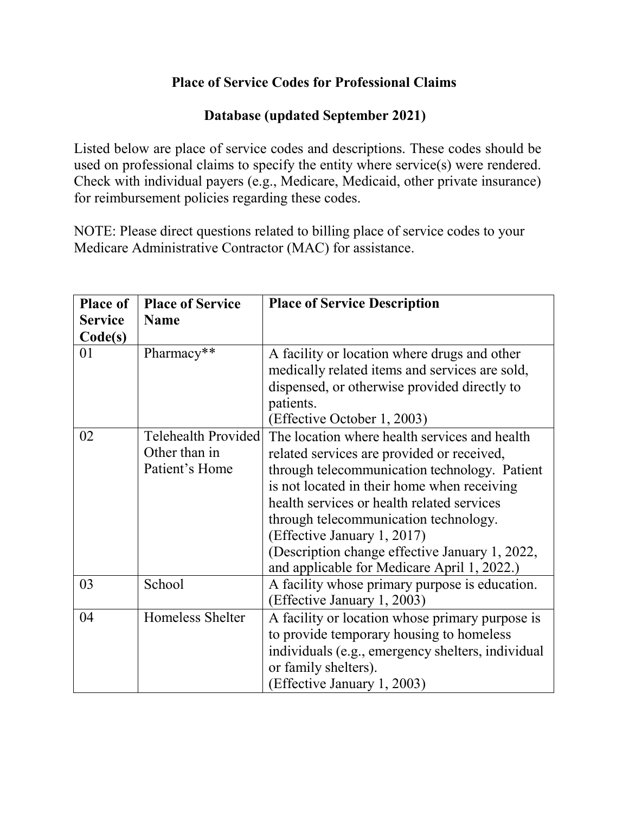## **Place of Service Codes for Professional Claims**

## **Database (updated September 2021)**

Listed below are place of service codes and descriptions. These codes should be used on professional claims to specify the entity where service(s) were rendered. Check with individual payers (e.g., Medicare, Medicaid, other private insurance) for reimbursement policies regarding these codes.

NOTE: Please direct questions related to billing place of service codes to your Medicare Administrative Contractor (MAC) for assistance.

| <b>Place of</b> | <b>Place of Service</b>    | <b>Place of Service Description</b>                                                           |
|-----------------|----------------------------|-----------------------------------------------------------------------------------------------|
| <b>Service</b>  | <b>Name</b>                |                                                                                               |
| Code(s)         |                            |                                                                                               |
| 01              | Pharmacy**                 | A facility or location where drugs and other                                                  |
|                 |                            | medically related items and services are sold,                                                |
|                 |                            | dispensed, or otherwise provided directly to                                                  |
|                 |                            | patients.                                                                                     |
|                 |                            | (Effective October 1, 2003)                                                                   |
| 02              | <b>Telehealth Provided</b> | The location where health services and health                                                 |
|                 | Other than in              | related services are provided or received,                                                    |
|                 | Patient's Home             | through telecommunication technology. Patient                                                 |
|                 |                            | is not located in their home when receiving                                                   |
|                 |                            | health services or health related services                                                    |
|                 |                            | through telecommunication technology.                                                         |
|                 |                            | (Effective January 1, 2017)                                                                   |
|                 |                            | (Description change effective January 1, 2022,<br>and applicable for Medicare April 1, 2022.) |
| 03              | School                     | A facility whose primary purpose is education.                                                |
|                 |                            | (Effective January 1, 2003)                                                                   |
| 04              | Homeless Shelter           | A facility or location whose primary purpose is                                               |
|                 |                            | to provide temporary housing to homeless                                                      |
|                 |                            | individuals (e.g., emergency shelters, individual                                             |
|                 |                            | or family shelters).                                                                          |
|                 |                            | (Effective January 1, 2003)                                                                   |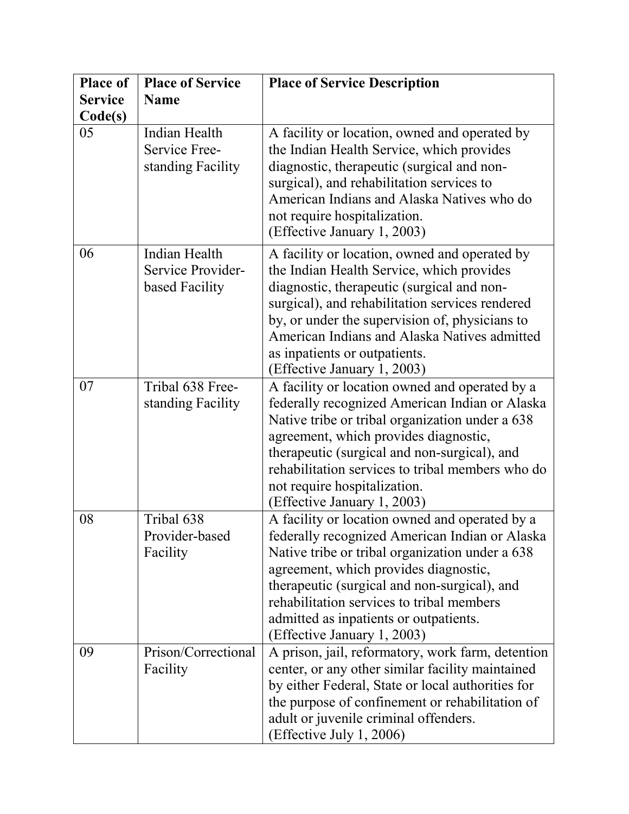| <b>Place of</b> | <b>Place of Service</b>                              | <b>Place of Service Description</b>                                                                                                                                                                                                                                                                                                                                |
|-----------------|------------------------------------------------------|--------------------------------------------------------------------------------------------------------------------------------------------------------------------------------------------------------------------------------------------------------------------------------------------------------------------------------------------------------------------|
| <b>Service</b>  | <b>Name</b>                                          |                                                                                                                                                                                                                                                                                                                                                                    |
| Code(s)         |                                                      |                                                                                                                                                                                                                                                                                                                                                                    |
| 05              | Indian Health<br>Service Free-<br>standing Facility  | A facility or location, owned and operated by<br>the Indian Health Service, which provides<br>diagnostic, therapeutic (surgical and non-<br>surgical), and rehabilitation services to<br>American Indians and Alaska Natives who do<br>not require hospitalization.<br>(Effective January 1, 2003)                                                                 |
| 06              | Indian Health<br>Service Provider-<br>based Facility | A facility or location, owned and operated by<br>the Indian Health Service, which provides<br>diagnostic, therapeutic (surgical and non-<br>surgical), and rehabilitation services rendered<br>by, or under the supervision of, physicians to<br>American Indians and Alaska Natives admitted<br>as inpatients or outpatients.<br>(Effective January 1, 2003)      |
| 07              | Tribal 638 Free-<br>standing Facility                | A facility or location owned and operated by a<br>federally recognized American Indian or Alaska<br>Native tribe or tribal organization under a 638<br>agreement, which provides diagnostic,<br>therapeutic (surgical and non-surgical), and<br>rehabilitation services to tribal members who do<br>not require hospitalization.<br>(Effective January 1, 2003)    |
| 08              | Tribal 638<br>Provider-based<br>Facility             | A facility or location owned and operated by a<br>federally recognized American Indian or Alaska<br>Native tribe or tribal organization under a 638<br>agreement, which provides diagnostic,<br>therapeutic (surgical and non-surgical), and<br>rehabilitation services to tribal members<br>admitted as inpatients or outpatients.<br>(Effective January 1, 2003) |
| 09              | Prison/Correctional<br>Facility                      | A prison, jail, reformatory, work farm, detention<br>center, or any other similar facility maintained<br>by either Federal, State or local authorities for<br>the purpose of confinement or rehabilitation of<br>adult or juvenile criminal offenders.<br>(Effective July 1, 2006)                                                                                 |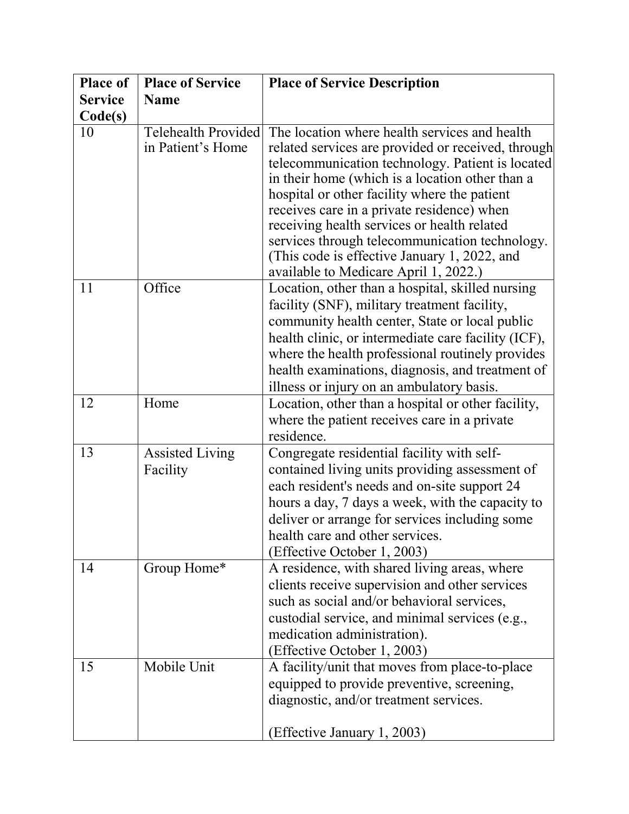| <b>Place of</b> | <b>Place of Service</b>                         | <b>Place of Service Description</b>                                                                                                                                                                                                                                                                                                                                                                                                                                                                |
|-----------------|-------------------------------------------------|----------------------------------------------------------------------------------------------------------------------------------------------------------------------------------------------------------------------------------------------------------------------------------------------------------------------------------------------------------------------------------------------------------------------------------------------------------------------------------------------------|
| <b>Service</b>  | <b>Name</b>                                     |                                                                                                                                                                                                                                                                                                                                                                                                                                                                                                    |
| Code(s)         |                                                 |                                                                                                                                                                                                                                                                                                                                                                                                                                                                                                    |
| 10              | <b>Telehealth Provided</b><br>in Patient's Home | The location where health services and health<br>related services are provided or received, through<br>telecommunication technology. Patient is located<br>in their home (which is a location other than a<br>hospital or other facility where the patient<br>receives care in a private residence) when<br>receiving health services or health related<br>services through telecommunication technology.<br>(This code is effective January 1, 2022, and<br>available to Medicare April 1, 2022.) |
| 11              | Office                                          | Location, other than a hospital, skilled nursing<br>facility (SNF), military treatment facility,<br>community health center, State or local public<br>health clinic, or intermediate care facility (ICF),<br>where the health professional routinely provides<br>health examinations, diagnosis, and treatment of<br>illness or injury on an ambulatory basis.                                                                                                                                     |
| 12              | Home                                            | Location, other than a hospital or other facility,<br>where the patient receives care in a private<br>residence.                                                                                                                                                                                                                                                                                                                                                                                   |
| 13              | <b>Assisted Living</b><br>Facility              | Congregate residential facility with self-<br>contained living units providing assessment of<br>each resident's needs and on-site support 24<br>hours a day, 7 days a week, with the capacity to<br>deliver or arrange for services including some<br>health care and other services.<br>(Effective October 1, 2003)                                                                                                                                                                               |
| 14              | Group Home*                                     | A residence, with shared living areas, where<br>clients receive supervision and other services<br>such as social and/or behavioral services,<br>custodial service, and minimal services (e.g.,<br>medication administration).<br>(Effective October 1, 2003)                                                                                                                                                                                                                                       |
| 15              | Mobile Unit                                     | A facility/unit that moves from place-to-place<br>equipped to provide preventive, screening,<br>diagnostic, and/or treatment services.<br>(Effective January 1, 2003)                                                                                                                                                                                                                                                                                                                              |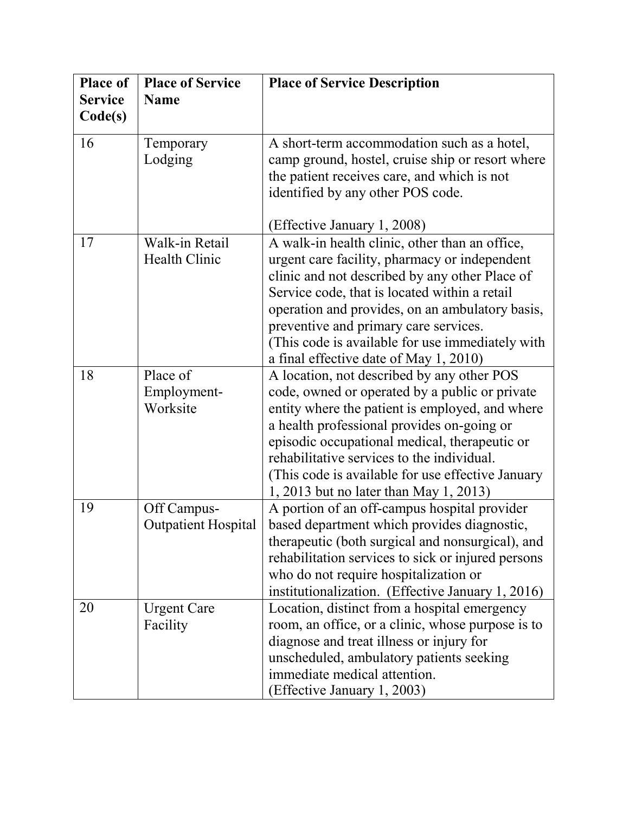| <b>Place of</b> | <b>Place of Service</b>    | <b>Place of Service Description</b>                |
|-----------------|----------------------------|----------------------------------------------------|
| <b>Service</b>  | <b>Name</b>                |                                                    |
| Code(s)         |                            |                                                    |
| 16              | Temporary                  | A short-term accommodation such as a hotel,        |
|                 | Lodging                    | camp ground, hostel, cruise ship or resort where   |
|                 |                            | the patient receives care, and which is not        |
|                 |                            | identified by any other POS code.                  |
|                 |                            | (Effective January 1, 2008)                        |
| 17              | Walk-in Retail             | A walk-in health clinic, other than an office,     |
|                 | Health Clinic              | urgent care facility, pharmacy or independent      |
|                 |                            | clinic and not described by any other Place of     |
|                 |                            | Service code, that is located within a retail      |
|                 |                            | operation and provides, on an ambulatory basis,    |
|                 |                            | preventive and primary care services.              |
|                 |                            | (This code is available for use immediately with   |
|                 |                            | a final effective date of May 1, 2010)             |
| 18              | Place of                   | A location, not described by any other POS         |
|                 | Employment-                | code, owned or operated by a public or private     |
|                 | Worksite                   | entity where the patient is employed, and where    |
|                 |                            | a health professional provides on-going or         |
|                 |                            | episodic occupational medical, therapeutic or      |
|                 |                            | rehabilitative services to the individual.         |
|                 |                            | (This code is available for use effective January  |
|                 |                            | 1, 2013 but no later than May 1, 2013)             |
| 19              | Off Campus-                | A portion of an off-campus hospital provider       |
|                 | <b>Outpatient Hospital</b> | based department which provides diagnostic,        |
|                 |                            | therapeutic (both surgical and nonsurgical), and   |
|                 |                            | rehabilitation services to sick or injured persons |
|                 |                            | who do not require hospitalization or              |
|                 |                            | institutionalization. (Effective January 1, 2016)  |
| 20              | <b>Urgent Care</b>         | Location, distinct from a hospital emergency       |
|                 | Facility                   | room, an office, or a clinic, whose purpose is to  |
|                 |                            | diagnose and treat illness or injury for           |
|                 |                            | unscheduled, ambulatory patients seeking           |
|                 |                            | immediate medical attention.                       |
|                 |                            | (Effective January 1, 2003)                        |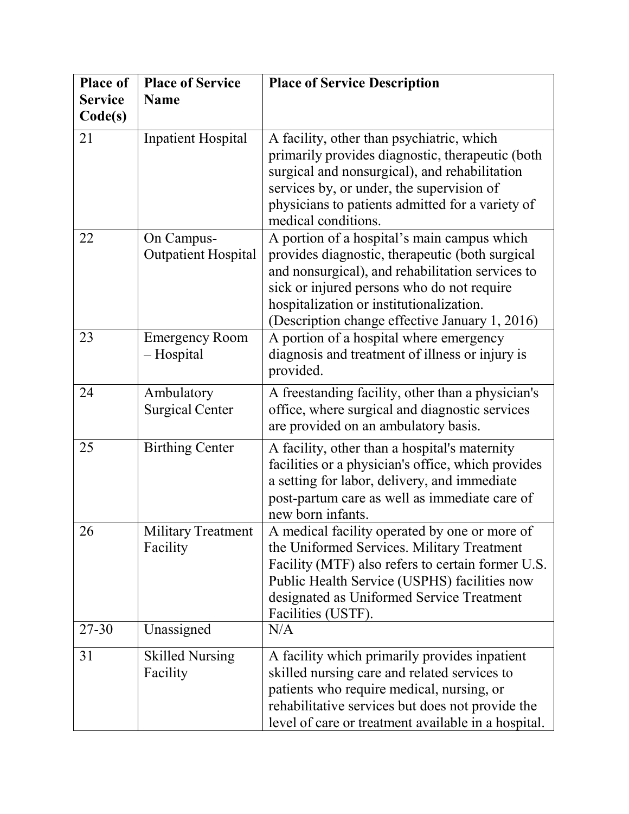| <b>Place of</b> | <b>Place of Service</b>                  | <b>Place of Service Description</b>                                                                                                                                                                                                                                                            |
|-----------------|------------------------------------------|------------------------------------------------------------------------------------------------------------------------------------------------------------------------------------------------------------------------------------------------------------------------------------------------|
| <b>Service</b>  | <b>Name</b>                              |                                                                                                                                                                                                                                                                                                |
| Code(s)         |                                          |                                                                                                                                                                                                                                                                                                |
| 21              | <b>Inpatient Hospital</b>                | A facility, other than psychiatric, which<br>primarily provides diagnostic, therapeutic (both<br>surgical and nonsurgical), and rehabilitation<br>services by, or under, the supervision of<br>physicians to patients admitted for a variety of<br>medical conditions.                         |
| 22              | On Campus-<br><b>Outpatient Hospital</b> | A portion of a hospital's main campus which<br>provides diagnostic, therapeutic (both surgical<br>and nonsurgical), and rehabilitation services to<br>sick or injured persons who do not require<br>hospitalization or institutionalization.<br>(Description change effective January 1, 2016) |
| 23              | <b>Emergency Room</b><br>- Hospital      | A portion of a hospital where emergency<br>diagnosis and treatment of illness or injury is<br>provided.                                                                                                                                                                                        |
| 24              | Ambulatory<br><b>Surgical Center</b>     | A freestanding facility, other than a physician's<br>office, where surgical and diagnostic services<br>are provided on an ambulatory basis.                                                                                                                                                    |
| 25              | <b>Birthing Center</b>                   | A facility, other than a hospital's maternity<br>facilities or a physician's office, which provides<br>a setting for labor, delivery, and immediate<br>post-partum care as well as immediate care of<br>new born infants.                                                                      |
| 26              | <b>Military Treatment</b><br>Facility    | A medical facility operated by one or more of<br>the Uniformed Services. Military Treatment<br>Facility (MTF) also refers to certain former U.S.<br>Public Health Service (USPHS) facilities now<br>designated as Uniformed Service Treatment<br>Facilities (USTF).                            |
| $27 - 30$       | Unassigned                               | N/A                                                                                                                                                                                                                                                                                            |
| 31              | <b>Skilled Nursing</b><br>Facility       | A facility which primarily provides inpatient<br>skilled nursing care and related services to<br>patients who require medical, nursing, or<br>rehabilitative services but does not provide the<br>level of care or treatment available in a hospital.                                          |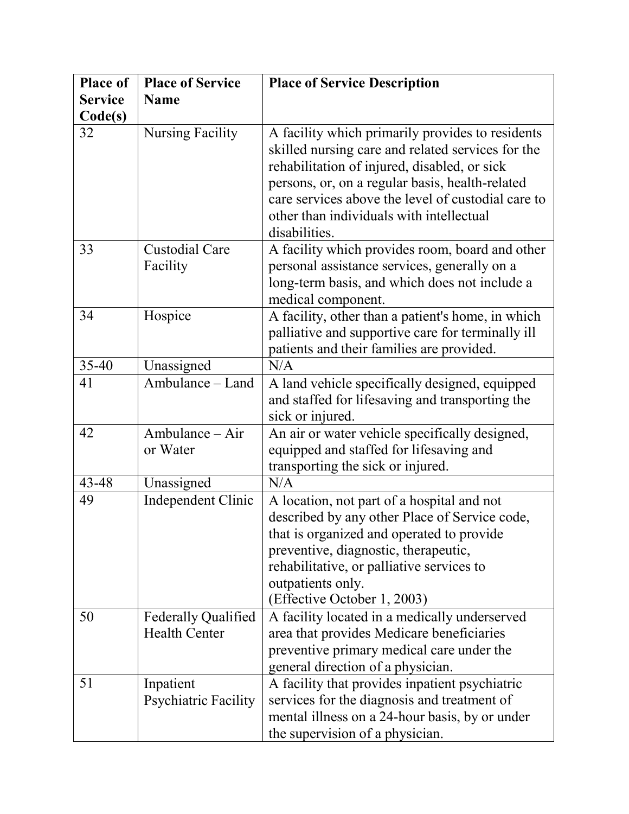| <b>Place of</b> | <b>Place of Service</b>                            | <b>Place of Service Description</b>                                                                                                                                                                                                                                                                                         |
|-----------------|----------------------------------------------------|-----------------------------------------------------------------------------------------------------------------------------------------------------------------------------------------------------------------------------------------------------------------------------------------------------------------------------|
| <b>Service</b>  | <b>Name</b>                                        |                                                                                                                                                                                                                                                                                                                             |
| Code(s)         |                                                    |                                                                                                                                                                                                                                                                                                                             |
| 32              | <b>Nursing Facility</b>                            | A facility which primarily provides to residents<br>skilled nursing care and related services for the<br>rehabilitation of injured, disabled, or sick<br>persons, or, on a regular basis, health-related<br>care services above the level of custodial care to<br>other than individuals with intellectual<br>disabilities. |
| 33              | <b>Custodial Care</b><br>Facility                  | A facility which provides room, board and other<br>personal assistance services, generally on a<br>long-term basis, and which does not include a<br>medical component.                                                                                                                                                      |
| 34              | Hospice                                            | A facility, other than a patient's home, in which<br>palliative and supportive care for terminally ill<br>patients and their families are provided.                                                                                                                                                                         |
| $35-40$         | Unassigned                                         | N/A                                                                                                                                                                                                                                                                                                                         |
| 41              | Ambulance – Land                                   | A land vehicle specifically designed, equipped<br>and staffed for lifesaving and transporting the<br>sick or injured.                                                                                                                                                                                                       |
| 42              | Ambulance - Air<br>or Water                        | An air or water vehicle specifically designed,<br>equipped and staffed for lifesaving and<br>transporting the sick or injured.                                                                                                                                                                                              |
| 43-48           | Unassigned                                         | N/A                                                                                                                                                                                                                                                                                                                         |
| 49              | Independent Clinic                                 | A location, not part of a hospital and not<br>described by any other Place of Service code,<br>that is organized and operated to provide<br>preventive, diagnostic, therapeutic,<br>rehabilitative, or palliative services to<br>outpatients only.<br>(Effective October 1, 2003)                                           |
| 50              | <b>Federally Qualified</b><br><b>Health Center</b> | A facility located in a medically underserved<br>area that provides Medicare beneficiaries<br>preventive primary medical care under the<br>general direction of a physician.                                                                                                                                                |
| 51              | Inpatient<br>Psychiatric Facility                  | A facility that provides inpatient psychiatric<br>services for the diagnosis and treatment of<br>mental illness on a 24-hour basis, by or under<br>the supervision of a physician.                                                                                                                                          |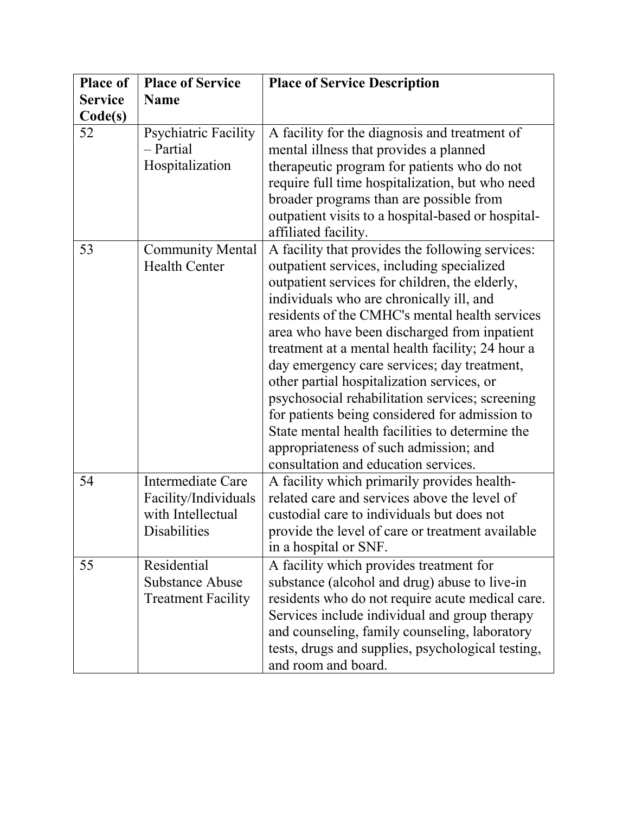| <b>Place of</b> | <b>Place of Service</b>                                                        | <b>Place of Service Description</b>                                                                                                                                                                                                                                                                                                                                                                                                                                                                                                                                                                                                                                                       |
|-----------------|--------------------------------------------------------------------------------|-------------------------------------------------------------------------------------------------------------------------------------------------------------------------------------------------------------------------------------------------------------------------------------------------------------------------------------------------------------------------------------------------------------------------------------------------------------------------------------------------------------------------------------------------------------------------------------------------------------------------------------------------------------------------------------------|
| <b>Service</b>  | <b>Name</b>                                                                    |                                                                                                                                                                                                                                                                                                                                                                                                                                                                                                                                                                                                                                                                                           |
| Code(s)         |                                                                                |                                                                                                                                                                                                                                                                                                                                                                                                                                                                                                                                                                                                                                                                                           |
| 52              | Psychiatric Facility<br>- Partial<br>Hospitalization                           | A facility for the diagnosis and treatment of<br>mental illness that provides a planned<br>therapeutic program for patients who do not<br>require full time hospitalization, but who need<br>broader programs than are possible from<br>outpatient visits to a hospital-based or hospital-<br>affiliated facility.                                                                                                                                                                                                                                                                                                                                                                        |
| 53              | <b>Community Mental</b><br><b>Health Center</b>                                | A facility that provides the following services:<br>outpatient services, including specialized<br>outpatient services for children, the elderly,<br>individuals who are chronically ill, and<br>residents of the CMHC's mental health services<br>area who have been discharged from inpatient<br>treatment at a mental health facility; 24 hour a<br>day emergency care services; day treatment,<br>other partial hospitalization services, or<br>psychosocial rehabilitation services; screening<br>for patients being considered for admission to<br>State mental health facilities to determine the<br>appropriateness of such admission; and<br>consultation and education services. |
| 54              | Intermediate Care<br>Facility/Individuals<br>with Intellectual<br>Disabilities | A facility which primarily provides health-<br>related care and services above the level of<br>custodial care to individuals but does not<br>provide the level of care or treatment available<br>in a hospital or SNF.                                                                                                                                                                                                                                                                                                                                                                                                                                                                    |
| 55              | Residential<br><b>Substance Abuse</b><br><b>Treatment Facility</b>             | A facility which provides treatment for<br>substance (alcohol and drug) abuse to live-in<br>residents who do not require acute medical care.<br>Services include individual and group therapy<br>and counseling, family counseling, laboratory<br>tests, drugs and supplies, psychological testing,<br>and room and board.                                                                                                                                                                                                                                                                                                                                                                |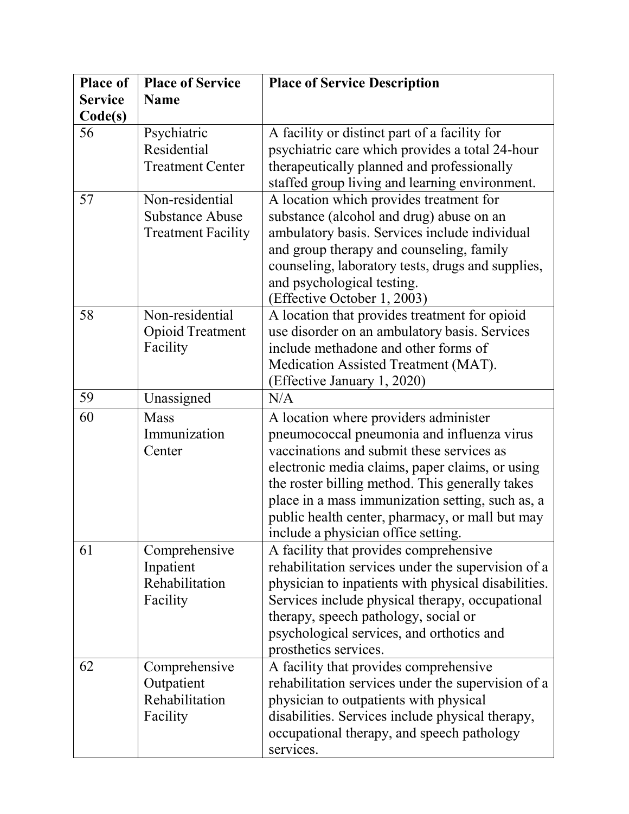| <b>Place of</b> | <b>Place of Service</b>                                         | <b>Place of Service Description</b>                                                                                                                                                                                                                                                                                                                                                  |
|-----------------|-----------------------------------------------------------------|--------------------------------------------------------------------------------------------------------------------------------------------------------------------------------------------------------------------------------------------------------------------------------------------------------------------------------------------------------------------------------------|
| <b>Service</b>  | <b>Name</b>                                                     |                                                                                                                                                                                                                                                                                                                                                                                      |
| Code(s)         |                                                                 |                                                                                                                                                                                                                                                                                                                                                                                      |
| 56              | Psychiatric<br>Residential<br><b>Treatment Center</b>           | A facility or distinct part of a facility for<br>psychiatric care which provides a total 24-hour<br>therapeutically planned and professionally<br>staffed group living and learning environment.                                                                                                                                                                                     |
| 57              | Non-residential<br>Substance Abuse<br><b>Treatment Facility</b> | A location which provides treatment for<br>substance (alcohol and drug) abuse on an<br>ambulatory basis. Services include individual<br>and group therapy and counseling, family<br>counseling, laboratory tests, drugs and supplies,<br>and psychological testing.<br>(Effective October 1, 2003)                                                                                   |
| 58              | Non-residential<br><b>Opioid Treatment</b><br>Facility          | A location that provides treatment for opioid<br>use disorder on an ambulatory basis. Services<br>include methadone and other forms of<br>Medication Assisted Treatment (MAT).<br>(Effective January 1, 2020)                                                                                                                                                                        |
| 59              | Unassigned                                                      | N/A                                                                                                                                                                                                                                                                                                                                                                                  |
| 60              | <b>Mass</b><br>Immunization<br>Center                           | A location where providers administer<br>pneumococcal pneumonia and influenza virus<br>vaccinations and submit these services as<br>electronic media claims, paper claims, or using<br>the roster billing method. This generally takes<br>place in a mass immunization setting, such as, a<br>public health center, pharmacy, or mall but may<br>include a physician office setting. |
| 61              | Comprehensive<br>Inpatient<br>Rehabilitation<br>Facility        | A facility that provides comprehensive<br>rehabilitation services under the supervision of a<br>physician to inpatients with physical disabilities.<br>Services include physical therapy, occupational<br>therapy, speech pathology, social or<br>psychological services, and orthotics and<br>prosthetics services.                                                                 |
| 62              | Comprehensive<br>Outpatient<br>Rehabilitation<br>Facility       | A facility that provides comprehensive<br>rehabilitation services under the supervision of a<br>physician to outpatients with physical<br>disabilities. Services include physical therapy,<br>occupational therapy, and speech pathology<br>services.                                                                                                                                |